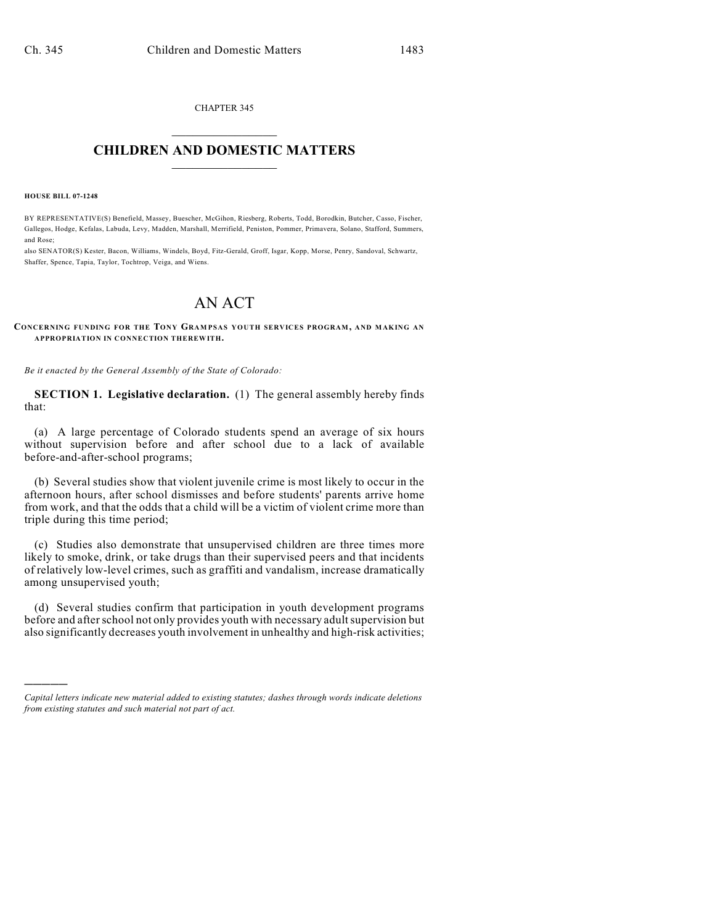CHAPTER 345  $\overline{\phantom{a}}$  . The set of the set of the set of the set of the set of the set of the set of the set of the set of the set of the set of the set of the set of the set of the set of the set of the set of the set of the set o

## **CHILDREN AND DOMESTIC MATTERS**  $\_$

**HOUSE BILL 07-1248**

)))))

BY REPRESENTATIVE(S) Benefield, Massey, Buescher, McGihon, Riesberg, Roberts, Todd, Borodkin, Butcher, Casso, Fischer, Gallegos, Hodge, Kefalas, Labuda, Levy, Madden, Marshall, Merrifield, Peniston, Pommer, Primavera, Solano, Stafford, Summers, and Rose;

also SENATOR(S) Kester, Bacon, Williams, Windels, Boyd, Fitz-Gerald, Groff, Isgar, Kopp, Morse, Penry, Sandoval, Schwartz, Shaffer, Spence, Tapia, Taylor, Tochtrop, Veiga, and Wiens.

## AN ACT

**CONCERNING FUNDING FOR THE TONY GRAM PSAS YOUTH SERVICES PROGRAM, AND MAKING AN APPROPRIATION IN CONNECTION THEREWITH.**

*Be it enacted by the General Assembly of the State of Colorado:*

**SECTION 1. Legislative declaration.** (1) The general assembly hereby finds that:

(a) A large percentage of Colorado students spend an average of six hours without supervision before and after school due to a lack of available before-and-after-school programs;

(b) Several studies show that violent juvenile crime is most likely to occur in the afternoon hours, after school dismisses and before students' parents arrive home from work, and that the odds that a child will be a victim of violent crime more than triple during this time period;

(c) Studies also demonstrate that unsupervised children are three times more likely to smoke, drink, or take drugs than their supervised peers and that incidents of relatively low-level crimes, such as graffiti and vandalism, increase dramatically among unsupervised youth;

(d) Several studies confirm that participation in youth development programs before and after school not only provides youth with necessary adult supervision but also significantly decreases youth involvement in unhealthy and high-risk activities;

*Capital letters indicate new material added to existing statutes; dashes through words indicate deletions from existing statutes and such material not part of act.*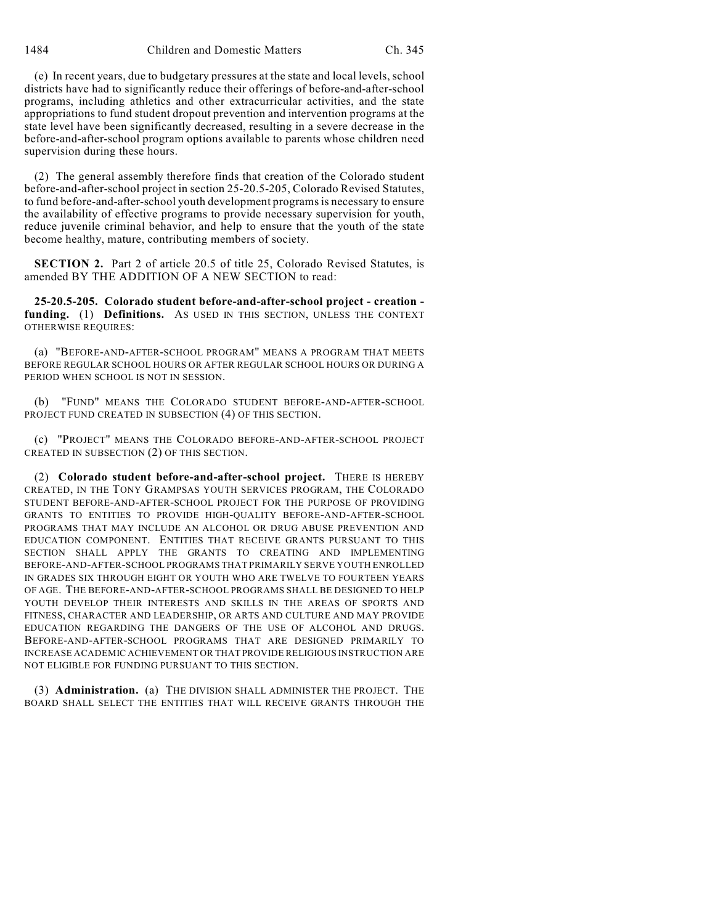(e) In recent years, due to budgetary pressures at the state and local levels, school districts have had to significantly reduce their offerings of before-and-after-school programs, including athletics and other extracurricular activities, and the state appropriations to fund student dropout prevention and intervention programs at the state level have been significantly decreased, resulting in a severe decrease in the before-and-after-school program options available to parents whose children need supervision during these hours.

(2) The general assembly therefore finds that creation of the Colorado student before-and-after-school project in section 25-20.5-205, Colorado Revised Statutes, to fund before-and-after-school youth development programs is necessary to ensure the availability of effective programs to provide necessary supervision for youth, reduce juvenile criminal behavior, and help to ensure that the youth of the state become healthy, mature, contributing members of society.

**SECTION 2.** Part 2 of article 20.5 of title 25, Colorado Revised Statutes, is amended BY THE ADDITION OF A NEW SECTION to read:

**25-20.5-205. Colorado student before-and-after-school project - creation funding.** (1) **Definitions.** AS USED IN THIS SECTION, UNLESS THE CONTEXT OTHERWISE REQUIRES:

(a) "BEFORE-AND-AFTER-SCHOOL PROGRAM" MEANS A PROGRAM THAT MEETS BEFORE REGULAR SCHOOL HOURS OR AFTER REGULAR SCHOOL HOURS OR DURING A PERIOD WHEN SCHOOL IS NOT IN SESSION.

(b) "FUND" MEANS THE COLORADO STUDENT BEFORE-AND-AFTER-SCHOOL PROJECT FUND CREATED IN SUBSECTION (4) OF THIS SECTION.

(c) "PROJECT" MEANS THE COLORADO BEFORE-AND-AFTER-SCHOOL PROJECT CREATED IN SUBSECTION (2) OF THIS SECTION.

(2) **Colorado student before-and-after-school project.** THERE IS HEREBY CREATED, IN THE TONY GRAMPSAS YOUTH SERVICES PROGRAM, THE COLORADO STUDENT BEFORE-AND-AFTER-SCHOOL PROJECT FOR THE PURPOSE OF PROVIDING GRANTS TO ENTITIES TO PROVIDE HIGH-QUALITY BEFORE-AND-AFTER-SCHOOL PROGRAMS THAT MAY INCLUDE AN ALCOHOL OR DRUG ABUSE PREVENTION AND EDUCATION COMPONENT. ENTITIES THAT RECEIVE GRANTS PURSUANT TO THIS SECTION SHALL APPLY THE GRANTS TO CREATING AND IMPLEMENTING BEFORE-AND-AFTER-SCHOOL PROGRAMS THAT PRIMARILY SERVE YOUTH ENROLLED IN GRADES SIX THROUGH EIGHT OR YOUTH WHO ARE TWELVE TO FOURTEEN YEARS OF AGE. THE BEFORE-AND-AFTER-SCHOOL PROGRAMS SHALL BE DESIGNED TO HELP YOUTH DEVELOP THEIR INTERESTS AND SKILLS IN THE AREAS OF SPORTS AND FITNESS, CHARACTER AND LEADERSHIP, OR ARTS AND CULTURE AND MAY PROVIDE EDUCATION REGARDING THE DANGERS OF THE USE OF ALCOHOL AND DRUGS. BEFORE-AND-AFTER-SCHOOL PROGRAMS THAT ARE DESIGNED PRIMARILY TO INCREASE ACADEMIC ACHIEVEMENT OR THAT PROVIDE RELIGIOUS INSTRUCTION ARE NOT ELIGIBLE FOR FUNDING PURSUANT TO THIS SECTION.

(3) **Administration.** (a) THE DIVISION SHALL ADMINISTER THE PROJECT. THE BOARD SHALL SELECT THE ENTITIES THAT WILL RECEIVE GRANTS THROUGH THE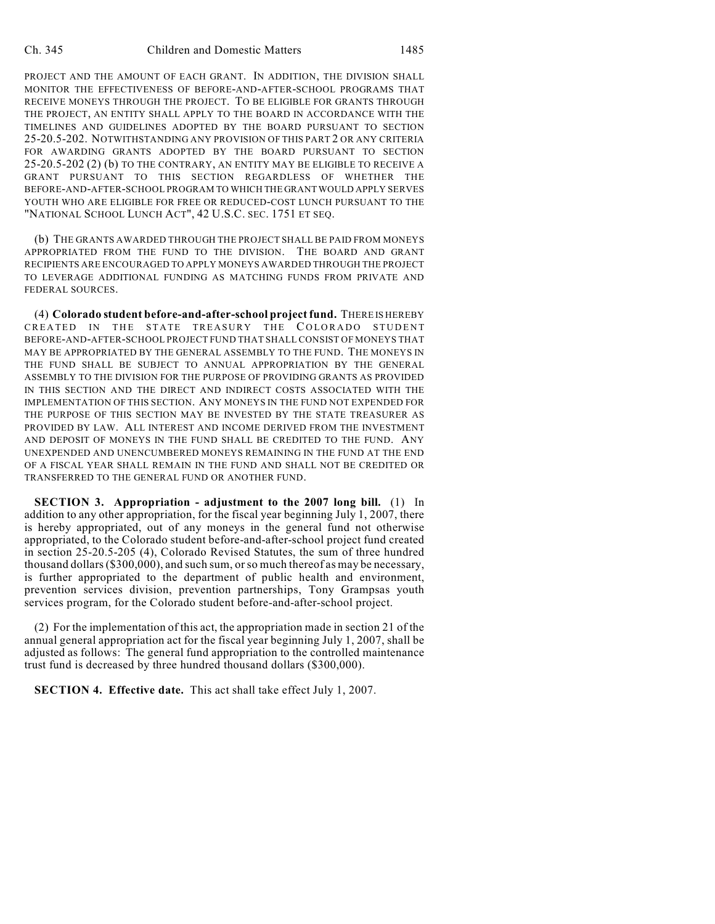PROJECT AND THE AMOUNT OF EACH GRANT. IN ADDITION, THE DIVISION SHALL MONITOR THE EFFECTIVENESS OF BEFORE-AND-AFTER-SCHOOL PROGRAMS THAT RECEIVE MONEYS THROUGH THE PROJECT. TO BE ELIGIBLE FOR GRANTS THROUGH THE PROJECT, AN ENTITY SHALL APPLY TO THE BOARD IN ACCORDANCE WITH THE TIMELINES AND GUIDELINES ADOPTED BY THE BOARD PURSUANT TO SECTION 25-20.5-202. NOTWITHSTANDING ANY PROVISION OF THIS PART 2 OR ANY CRITERIA FOR AWARDING GRANTS ADOPTED BY THE BOARD PURSUANT TO SECTION 25-20.5-202 (2) (b) TO THE CONTRARY, AN ENTITY MAY BE ELIGIBLE TO RECEIVE A GRANT PURSUANT TO THIS SECTION REGARDLESS OF WHETHER THE BEFORE-AND-AFTER-SCHOOL PROGRAM TO WHICH THE GRANT WOULD APPLY SERVES YOUTH WHO ARE ELIGIBLE FOR FREE OR REDUCED-COST LUNCH PURSUANT TO THE "NATIONAL SCHOOL LUNCH ACT", 42 U.S.C. SEC. 1751 ET SEQ.

(b) THE GRANTS AWARDED THROUGH THE PROJECT SHALL BE PAID FROM MONEYS APPROPRIATED FROM THE FUND TO THE DIVISION. THE BOARD AND GRANT RECIPIENTS ARE ENCOURAGED TO APPLY MONEYS AWARDED THROUGH THE PROJECT TO LEVERAGE ADDITIONAL FUNDING AS MATCHING FUNDS FROM PRIVATE AND FEDERAL SOURCES.

(4) **Colorado student before-and-after-school project fund.** THERE IS HEREBY CREATED IN THE STATE TREASURY THE COLORADO STUDENT BEFORE-AND-AFTER-SCHOOL PROJECT FUND THAT SHALL CONSIST OF MONEYS THAT MAY BE APPROPRIATED BY THE GENERAL ASSEMBLY TO THE FUND. THE MONEYS IN THE FUND SHALL BE SUBJECT TO ANNUAL APPROPRIATION BY THE GENERAL ASSEMBLY TO THE DIVISION FOR THE PURPOSE OF PROVIDING GRANTS AS PROVIDED IN THIS SECTION AND THE DIRECT AND INDIRECT COSTS ASSOCIATED WITH THE IMPLEMENTATION OF THIS SECTION. ANY MONEYS IN THE FUND NOT EXPENDED FOR THE PURPOSE OF THIS SECTION MAY BE INVESTED BY THE STATE TREASURER AS PROVIDED BY LAW. ALL INTEREST AND INCOME DERIVED FROM THE INVESTMENT AND DEPOSIT OF MONEYS IN THE FUND SHALL BE CREDITED TO THE FUND. ANY UNEXPENDED AND UNENCUMBERED MONEYS REMAINING IN THE FUND AT THE END OF A FISCAL YEAR SHALL REMAIN IN THE FUND AND SHALL NOT BE CREDITED OR TRANSFERRED TO THE GENERAL FUND OR ANOTHER FUND.

**SECTION 3. Appropriation - adjustment to the 2007 long bill.** (1) In addition to any other appropriation, for the fiscal year beginning July 1, 2007, there is hereby appropriated, out of any moneys in the general fund not otherwise appropriated, to the Colorado student before-and-after-school project fund created in section 25-20.5-205 (4), Colorado Revised Statutes, the sum of three hundred thousand dollars (\$300,000), and such sum, or so much thereof as may be necessary, is further appropriated to the department of public health and environment, prevention services division, prevention partnerships, Tony Grampsas youth services program, for the Colorado student before-and-after-school project.

(2) For the implementation of this act, the appropriation made in section 21 of the annual general appropriation act for the fiscal year beginning July 1, 2007, shall be adjusted as follows: The general fund appropriation to the controlled maintenance trust fund is decreased by three hundred thousand dollars (\$300,000).

**SECTION 4. Effective date.** This act shall take effect July 1, 2007.